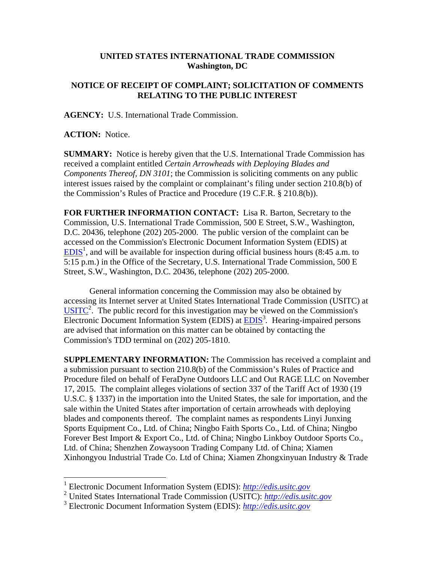## **UNITED STATES INTERNATIONAL TRADE COMMISSION Washington, DC**

## **NOTICE OF RECEIPT OF COMPLAINT; SOLICITATION OF COMMENTS RELATING TO THE PUBLIC INTEREST**

**AGENCY:** U.S. International Trade Commission.

**ACTION:** Notice.

 $\overline{a}$ 

**SUMMARY:** Notice is hereby given that the U.S. International Trade Commission has received a complaint entitled *Certain Arrowheads with Deploying Blades and Components Thereof, DN 3101*; the Commission is soliciting comments on any public interest issues raised by the complaint or complainant's filing under section 210.8(b) of the Commission's Rules of Practice and Procedure (19 C.F.R. § 210.8(b)).

**FOR FURTHER INFORMATION CONTACT:** Lisa R. Barton, Secretary to the Commission, U.S. International Trade Commission, 500 E Street, S.W., Washington, D.C. 20436, telephone (202) 205-2000. The public version of the complaint can be accessed on the Commission's Electronic Document Information System (EDIS) at  $EDIS<sup>1</sup>$ , and will be available for inspection during official business hours (8:45 a.m. to 5:15 p.m.) in the Office of the Secretary, U.S. International Trade Commission, 500 E Street, S.W., Washington, D.C. 20436, telephone (202) 205-2000.

General information concerning the Commission may also be obtained by accessing its Internet server at United States International Trade Commission (USITC) at  $\overline{\text{USITC}}^2$ . The public record for this investigation may be viewed on the Commission's Electronic Document Information System (EDIS) at **EDIS**<sup>3</sup>. Hearing-impaired persons are advised that information on this matter can be obtained by contacting the Commission's TDD terminal on (202) 205-1810.

**SUPPLEMENTARY INFORMATION:** The Commission has received a complaint and a submission pursuant to section 210.8(b) of the Commission's Rules of Practice and Procedure filed on behalf of FeraDyne Outdoors LLC and Out RAGE LLC on November 17, 2015. The complaint alleges violations of section 337 of the Tariff Act of 1930 (19 U.S.C. § 1337) in the importation into the United States, the sale for importation, and the sale within the United States after importation of certain arrowheads with deploying blades and components thereof. The complaint names as respondents Linyi Junxing Sports Equipment Co., Ltd. of China; Ningbo Faith Sports Co., Ltd. of China; Ningbo Forever Best Import & Export Co., Ltd. of China; Ningbo Linkboy Outdoor Sports Co., Ltd. of China; Shenzhen Zowaysoon Trading Company Ltd. of China; Xiamen Xinhongyou Industrial Trade Co. Ltd of China; Xiamen Zhongxinyuan Industry & Trade

<sup>1</sup> Electronic Document Information System (EDIS): *http://edis.usitc.gov*

<sup>2</sup> United States International Trade Commission (USITC): *http://edis.usitc.gov*

<sup>3</sup> Electronic Document Information System (EDIS): *http://edis.usitc.gov*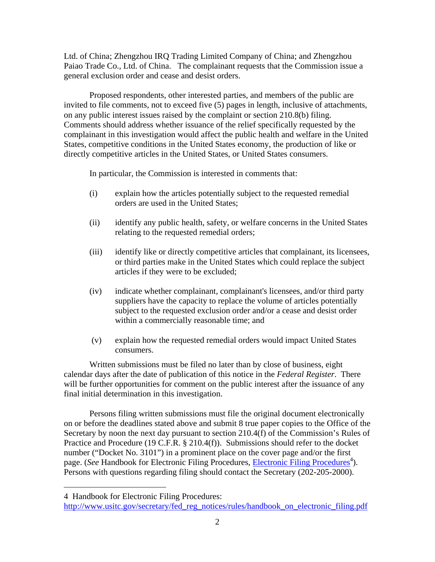Ltd. of China; Zhengzhou IRQ Trading Limited Company of China; and Zhengzhou Paiao Trade Co., Ltd. of China. The complainant requests that the Commission issue a general exclusion order and cease and desist orders.

Proposed respondents, other interested parties, and members of the public are invited to file comments, not to exceed five (5) pages in length, inclusive of attachments, on any public interest issues raised by the complaint or section 210.8(b) filing. Comments should address whether issuance of the relief specifically requested by the complainant in this investigation would affect the public health and welfare in the United States, competitive conditions in the United States economy, the production of like or directly competitive articles in the United States, or United States consumers.

In particular, the Commission is interested in comments that:

- (i) explain how the articles potentially subject to the requested remedial orders are used in the United States;
- (ii) identify any public health, safety, or welfare concerns in the United States relating to the requested remedial orders;
- (iii) identify like or directly competitive articles that complainant, its licensees, or third parties make in the United States which could replace the subject articles if they were to be excluded;
- (iv) indicate whether complainant, complainant's licensees, and/or third party suppliers have the capacity to replace the volume of articles potentially subject to the requested exclusion order and/or a cease and desist order within a commercially reasonable time; and
- (v) explain how the requested remedial orders would impact United States consumers.

Written submissions must be filed no later than by close of business, eight calendar days after the date of publication of this notice in the *Federal Register*. There will be further opportunities for comment on the public interest after the issuance of any final initial determination in this investigation.

Persons filing written submissions must file the original document electronically on or before the deadlines stated above and submit 8 true paper copies to the Office of the Secretary by noon the next day pursuant to section 210.4(f) of the Commission's Rules of Practice and Procedure (19 C.F.R. § 210.4(f)). Submissions should refer to the docket number ("Docket No. 3101") in a prominent place on the cover page and/or the first page. (*See* Handbook for Electronic Filing Procedures, *Electronic Filing Procedures*<sup>4</sup>). Persons with questions regarding filing should contact the Secretary (202-205-2000).

 $\overline{a}$ 

<sup>4</sup> Handbook for Electronic Filing Procedures:

http://www.usitc.gov/secretary/fed\_reg\_notices/rules/handbook\_on\_electronic\_filing.pdf